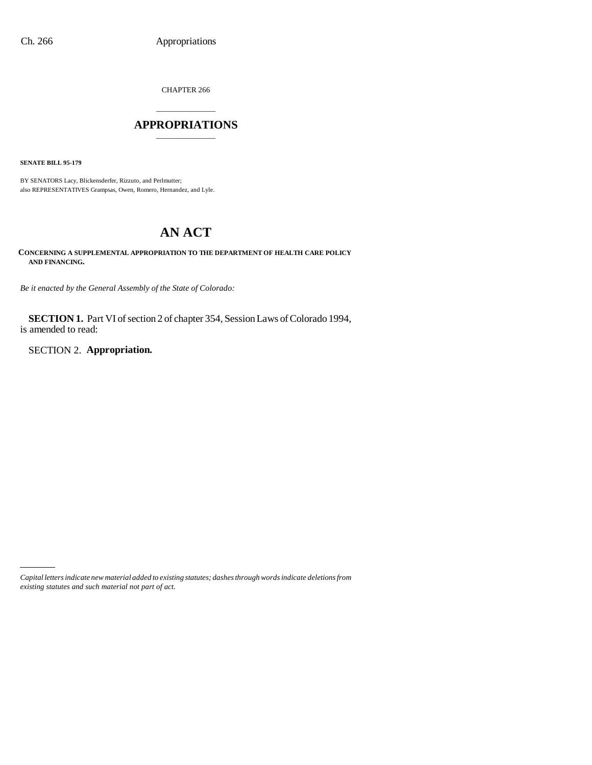CHAPTER 266

### \_\_\_\_\_\_\_\_\_\_\_\_\_\_\_ **APPROPRIATIONS** \_\_\_\_\_\_\_\_\_\_\_\_\_\_\_

**SENATE BILL 95-179**

BY SENATORS Lacy, Blickensderfer, Rizzuto, and Perlmutter; also REPRESENTATIVES Grampsas, Owen, Romero, Hernandez, and Lyle.

# **AN ACT**

**CONCERNING A SUPPLEMENTAL APPROPRIATION TO THE DEPARTMENT OF HEALTH CARE POLICY AND FINANCING.**

*Be it enacted by the General Assembly of the State of Colorado:*

**SECTION 1.** Part VI of section 2 of chapter 354, Session Laws of Colorado 1994, is amended to read:

SECTION 2. **Appropriation.**

*Capital letters indicate new material added to existing statutes; dashes through words indicate deletions from existing statutes and such material not part of act.*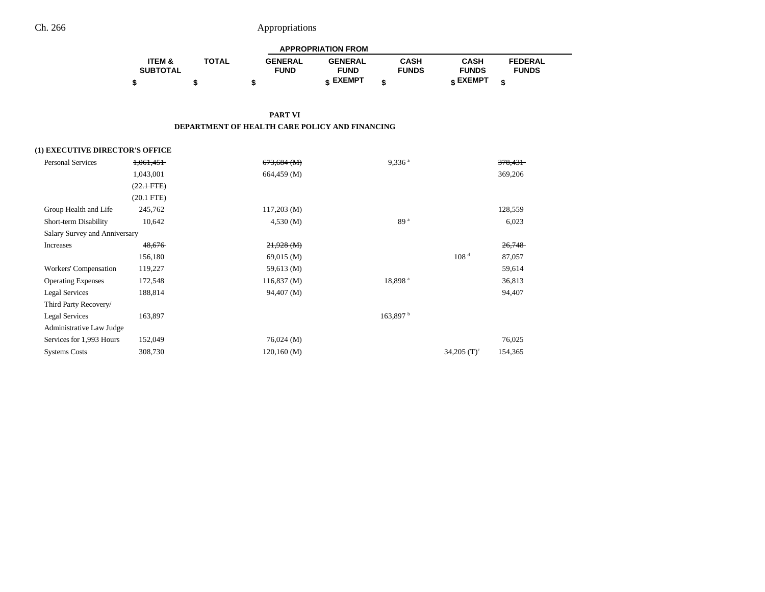|                   |              |                | <b>APPROPRIATION FROM</b> |              |                   |                |  |
|-------------------|--------------|----------------|---------------------------|--------------|-------------------|----------------|--|
| <b>ITEM &amp;</b> | <b>TOTAL</b> | <b>GENERAL</b> | <b>GENERAL</b>            | CASH         | CASH              | <b>FEDERAL</b> |  |
| <b>SUBTOTAL</b>   |              | <b>FUND</b>    | <b>FUND</b>               | <b>FUNDS</b> | <b>FUNDS</b>      | <b>FUNDS</b>   |  |
|                   |              |                | <b>c</b> EXEMPT           |              | $\epsilon$ EXEMPT |                |  |

**PART VI**

**DEPARTMENT OF HEALTH CARE POLICY AND FINANCING**

### **(1) EXECUTIVE DIRECTOR'S OFFICE**

| <del>1,061,451</del>          | $673,684 \ (M)$ | $9,336$ <sup>a</sup> |                           | 378,431 |
|-------------------------------|-----------------|----------------------|---------------------------|---------|
| 1,043,001                     | 664,459 (M)     |                      |                           | 369,206 |
| $(22.1 \text{ FTE})$          |                 |                      |                           |         |
| $(20.1$ FTE)                  |                 |                      |                           |         |
| 245,762                       | $117,203 \ (M)$ |                      |                           | 128,559 |
| 10,642                        | 4,530(M)        | 89 <sup>a</sup>      |                           | 6,023   |
| Salary Survey and Anniversary |                 |                      |                           |         |
| 48,676                        | $21,928 \,(M)$  |                      |                           | 26,748  |
| 156,180                       | 69,015 (M)      |                      | 108 <sup>d</sup>          | 87,057  |
| 119,227                       | 59,613 (M)      |                      |                           | 59,614  |
| 172,548                       | 116,837(M)      | 18,898 <sup>a</sup>  |                           | 36,813  |
| 188,814                       | 94,407 (M)      |                      |                           | 94,407  |
|                               |                 |                      |                           |         |
| 163,897                       |                 | 163,897 b            |                           |         |
| Administrative Law Judge      |                 |                      |                           |         |
| 152,049                       | $76,024 \,(M)$  |                      |                           | 76,025  |
| 308,730                       | $120,160 \,(M)$ |                      | $34,205$ (T) <sup>c</sup> | 154,365 |
|                               |                 |                      |                           |         |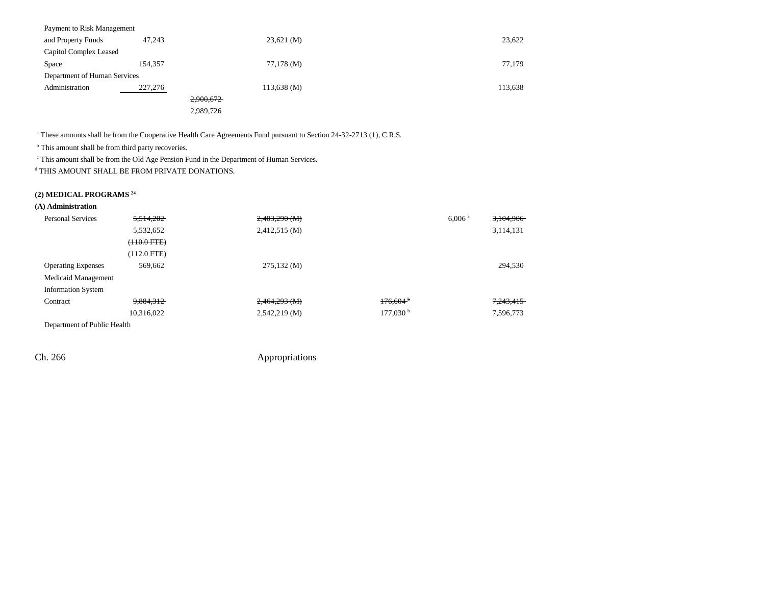| Payment to Risk Management   |         |                        |         |
|------------------------------|---------|------------------------|---------|
| and Property Funds           | 47,243  | $23,621 \, (\text{M})$ | 23,622  |
| Capitol Complex Leased       |         |                        |         |
| Space                        | 154,357 | 77,178 (M)             | 77,179  |
| Department of Human Services |         |                        |         |
| Administration               | 227,276 | $113,638 \, (M)$       | 113,638 |
|                              |         | 2,900,672              |         |
|                              |         | 2,989,726              |         |
|                              |         |                        |         |

<sup>a</sup> These amounts shall be from the Cooperative Health Care Agreements Fund pursuant to Section 24-32-2713 (1), C.R.S.

<sup>b</sup> This amount shall be from third party recoveries.

c This amount shall be from the Old Age Pension Fund in the Department of Human Services.

d THIS AMOUNT SHALL BE FROM PRIVATE DONATIONS.

### **(2) MEDICAL PROGRAMS 24**

| <b>Personal Services</b>       | 5,514,202        | $2,403,290$ (M) |                        | $6,006$ <sup>a</sup> | 3,104,906 |
|--------------------------------|------------------|-----------------|------------------------|----------------------|-----------|
|                                | 5,532,652        | 2,412,515 (M)   |                        |                      | 3,114,131 |
|                                | $(+10.0$ FTE $)$ |                 |                        |                      |           |
|                                | (112.0 FTE)      |                 |                        |                      |           |
| <b>Operating Expenses</b>      | 569,662          | 275,132(M)      |                        |                      | 294,530   |
| Medicaid Management            |                  |                 |                        |                      |           |
| <b>Information System</b>      |                  |                 |                        |                      |           |
| Contract                       | 9,884,312        | $2,464,293$ (M) | 176.604 <sup>b</sup>   |                      | 7,243,415 |
|                                | 10,316,022       | $2,542,219$ (M) | $177,030^{\mathrm{b}}$ |                      | 7,596,773 |
| Domanters and of Dublin Haalth |                  |                 |                        |                      |           |

Department of Public Health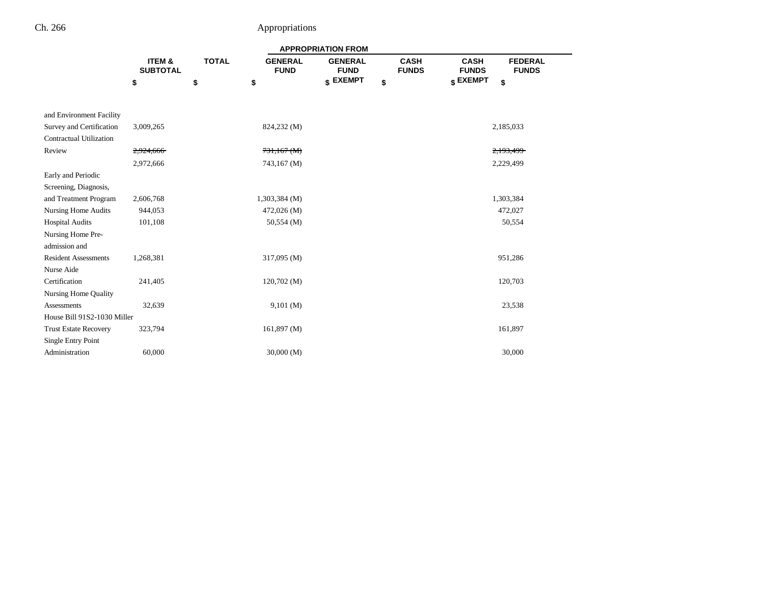|                              |                           |              |                               | <b>APPROPRIATION FROM</b>     |                             |                                                               |  |
|------------------------------|---------------------------|--------------|-------------------------------|-------------------------------|-----------------------------|---------------------------------------------------------------|--|
|                              | ITEM &<br><b>SUBTOTAL</b> | <b>TOTAL</b> | <b>GENERAL</b><br><b>FUND</b> | <b>GENERAL</b><br><b>FUND</b> | <b>CASH</b><br><b>FUNDS</b> | <b>CASH</b><br><b>FEDERAL</b><br><b>FUNDS</b><br><b>FUNDS</b> |  |
|                              | \$                        | \$           | \$                            | \$ EXEMPT                     | \$                          | \$ EXEMPT<br>\$                                               |  |
|                              |                           |              |                               |                               |                             |                                                               |  |
| and Environment Facility     |                           |              |                               |                               |                             |                                                               |  |
| Survey and Certification     | 3,009,265                 |              | 824,232 (M)                   |                               |                             | 2,185,033                                                     |  |
| Contractual Utilization      |                           |              |                               |                               |                             |                                                               |  |
| Review                       | 2,924,666                 |              | $731,167$ (M)                 |                               |                             | 2,193,499                                                     |  |
|                              | 2,972,666                 |              | 743,167 (M)                   |                               |                             | 2,229,499                                                     |  |
| Early and Periodic           |                           |              |                               |                               |                             |                                                               |  |
| Screening, Diagnosis,        |                           |              |                               |                               |                             |                                                               |  |
| and Treatment Program        | 2,606,768                 |              | $1,303,384$ (M)               |                               |                             | 1,303,384                                                     |  |
| Nursing Home Audits          | 944,053                   |              | 472,026 (M)                   |                               |                             | 472,027                                                       |  |
| <b>Hospital Audits</b>       | 101,108                   |              | 50,554 (M)                    |                               |                             | 50,554                                                        |  |
| Nursing Home Pre-            |                           |              |                               |                               |                             |                                                               |  |
| admission and                |                           |              |                               |                               |                             |                                                               |  |
| <b>Resident Assessments</b>  | 1,268,381                 |              | 317,095 (M)                   |                               |                             | 951,286                                                       |  |
| Nurse Aide                   |                           |              |                               |                               |                             |                                                               |  |
| Certification                | 241,405                   |              | 120,702(M)                    |                               |                             | 120,703                                                       |  |
| <b>Nursing Home Quality</b>  |                           |              |                               |                               |                             |                                                               |  |
| <b>Assessments</b>           | 32,639                    |              | 9,101(M)                      |                               |                             | 23,538                                                        |  |
| House Bill 91S2-1030 Miller  |                           |              |                               |                               |                             |                                                               |  |
| <b>Trust Estate Recovery</b> | 323,794                   |              | 161,897(M)                    |                               |                             | 161,897                                                       |  |
| Single Entry Point           |                           |              |                               |                               |                             |                                                               |  |
| Administration               | 60,000                    |              | 30,000(M)                     |                               |                             | 30,000                                                        |  |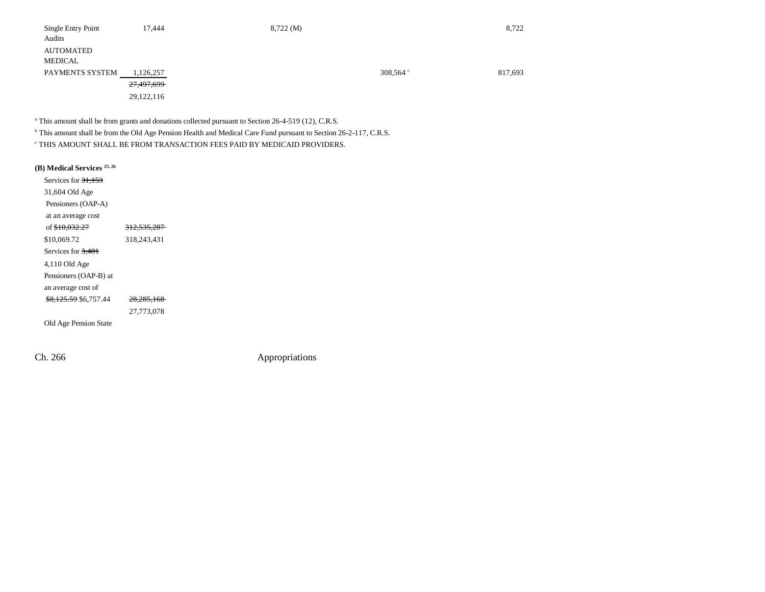| Single Entry Point | 17,444     | 8,722(M) |                   | 8,722   |
|--------------------|------------|----------|-------------------|---------|
| Audits             |            |          |                   |         |
| <b>AUTOMATED</b>   |            |          |                   |         |
| MEDICAL            |            |          |                   |         |
| PAYMENTS SYSTEM    | 1,126,257  |          | 308,564 $\degree$ | 817,693 |
|                    | 27,497,699 |          |                   |         |
|                    | 29,122,116 |          |                   |         |

<sup>a</sup> This amount shall be from grants and donations collected pursuant to Section 26-4-519 (12), C.R.S.

b This amount shall be from the Old Age Pension Health and Medical Care Fund pursuant to Section 26-2-117, C.R.S.

c THIS AMOUNT SHALL BE FROM TRANSACTION FEES PAID BY MEDICAID PROVIDERS.

| (B) Medical Services 25, 26      |                        |
|----------------------------------|------------------------|
| Services for 31,153              |                        |
| 31,604 Old Age                   |                        |
| Pensioners (OAP-A)               |                        |
| at an average cost               |                        |
| of \$10,032.27                   | <del>312,535,287</del> |
| \$10,069.72                      | 318,243,431            |
| Services for 3,481               |                        |
| $4,110$ Old Age                  |                        |
| Pensioners (OAP-B) at            |                        |
| an average cost of               |                        |
| <del>\$8,125.59</del> \$6,757.44 | <del>28.285.168</del>  |
|                                  | 27,773,078             |
| Old Age Pension State            |                        |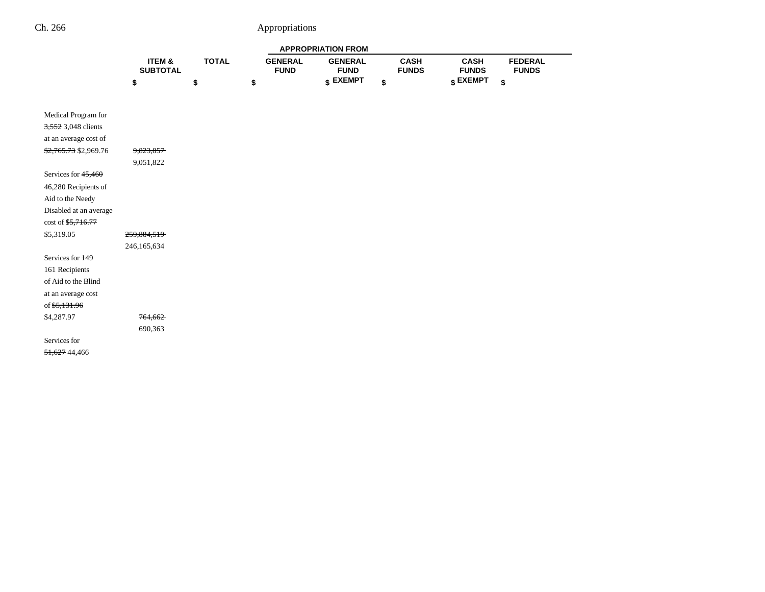|                                          |                           |              |                               | <b>APPROPRIATION FROM</b>     |                             |                             |                                |
|------------------------------------------|---------------------------|--------------|-------------------------------|-------------------------------|-----------------------------|-----------------------------|--------------------------------|
|                                          | ITEM &<br><b>SUBTOTAL</b> | <b>TOTAL</b> | <b>GENERAL</b><br><b>FUND</b> | <b>GENERAL</b><br><b>FUND</b> | <b>CASH</b><br><b>FUNDS</b> | <b>CASH</b><br><b>FUNDS</b> | <b>FEDERAL</b><br><b>FUNDS</b> |
|                                          | \$                        | \$           | \$                            | \$ EXEMPT                     | \$                          | \$ EXEMPT                   | \$                             |
|                                          |                           |              |                               |                               |                             |                             |                                |
| Medical Program for                      |                           |              |                               |                               |                             |                             |                                |
| 3,552 3,048 clients                      |                           |              |                               |                               |                             |                             |                                |
| at an average cost of                    |                           |              |                               |                               |                             |                             |                                |
| \$2,765.73 \$2,969.76                    | 9,823,857                 |              |                               |                               |                             |                             |                                |
|                                          | 9,051,822                 |              |                               |                               |                             |                             |                                |
| Services for $45,460$                    |                           |              |                               |                               |                             |                             |                                |
| 46,280 Recipients of                     |                           |              |                               |                               |                             |                             |                                |
| Aid to the Needy                         |                           |              |                               |                               |                             |                             |                                |
| Disabled at an average                   |                           |              |                               |                               |                             |                             |                                |
| $\cos t$ of $\frac{65,716.77}{5,716.77}$ |                           |              |                               |                               |                             |                             |                                |
| \$5,319.05                               | 259,884,519               |              |                               |                               |                             |                             |                                |
|                                          | 246,165,634               |              |                               |                               |                             |                             |                                |
| Services for 149                         |                           |              |                               |                               |                             |                             |                                |
| 161 Recipients                           |                           |              |                               |                               |                             |                             |                                |
| of Aid to the Blind                      |                           |              |                               |                               |                             |                             |                                |
| at an average cost                       |                           |              |                               |                               |                             |                             |                                |
| of \$5,131.96                            |                           |              |                               |                               |                             |                             |                                |
| \$4,287.97                               | 764,662                   |              |                               |                               |                             |                             |                                |
|                                          | 690,363                   |              |                               |                               |                             |                             |                                |
| Services for                             |                           |              |                               |                               |                             |                             |                                |
| 51,627 44,466                            |                           |              |                               |                               |                             |                             |                                |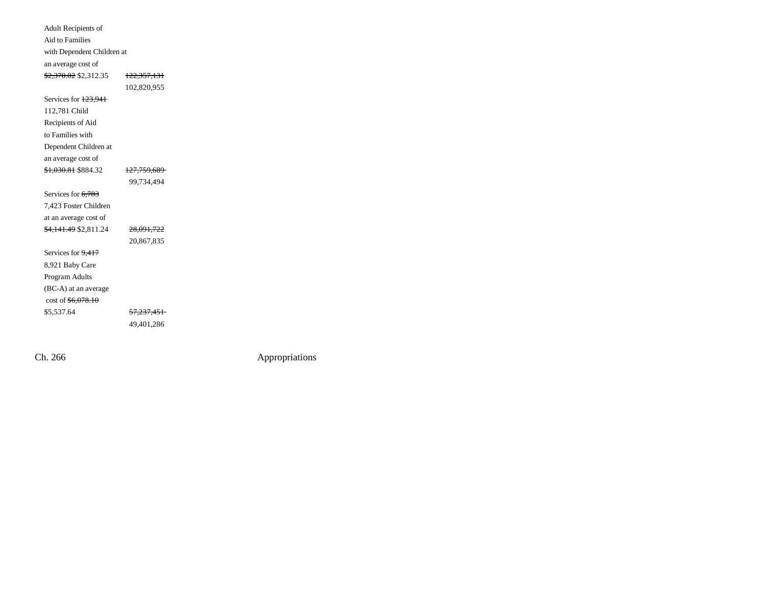| Adult Recipients of                     |                        |
|-----------------------------------------|------------------------|
| <b>Aid to Families</b>                  |                        |
| with Dependent Children at              |                        |
| an average cost of                      |                        |
| <del>\$2,370.02</del> \$2,312.35        | <del>122,357,131</del> |
|                                         | 102,820,955            |
| Services for 123,941                    |                        |
| 112,781 Child                           |                        |
| Recipients of Aid                       |                        |
| to Families with                        |                        |
| Dependent Children at                   |                        |
| an average cost of                      |                        |
| <del>\$1,030.81</del> \$884.32          | <del>127,759,689</del> |
|                                         | 99,734,494             |
| Services for 6,783                      |                        |
| 7.423 Foster Children                   |                        |
| at an average cost of                   |                        |
| <del>\$4,141.49</del> \$2,811.24        | 28,091,722             |
|                                         | 20,867,835             |
| Services for 9,417                      |                        |
| 8,921 Baby Care                         |                        |
| Program Adults                          |                        |
| (BC-A) at an average                    |                        |
| $\cos t$ of $\frac{6,078.10}{5,078.10}$ |                        |
| \$5,537.64                              | <del>57,237,451</del>  |
|                                         | 49,401,286             |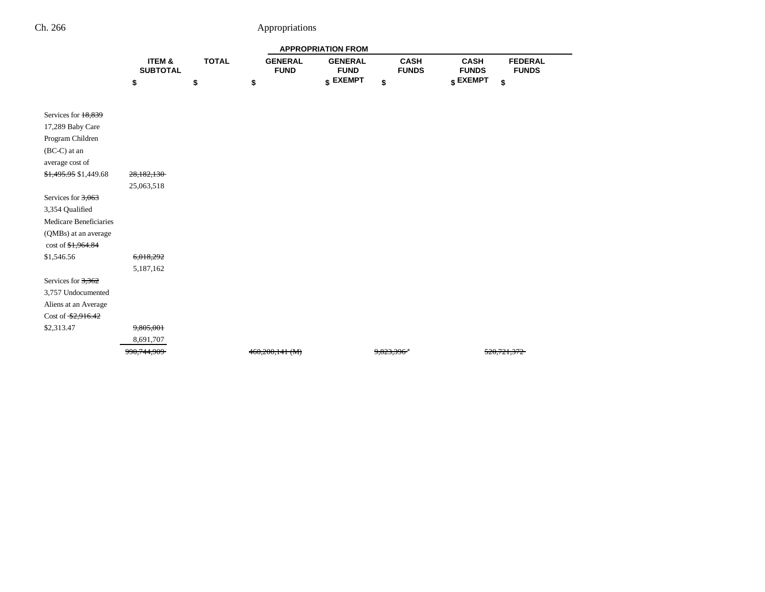|                        |                           |              |                               | <b>APPROPRIATION FROM</b>     |                             |                                                               |
|------------------------|---------------------------|--------------|-------------------------------|-------------------------------|-----------------------------|---------------------------------------------------------------|
|                        | ITEM &<br><b>SUBTOTAL</b> | <b>TOTAL</b> | <b>GENERAL</b><br><b>FUND</b> | <b>GENERAL</b><br><b>FUND</b> | <b>CASH</b><br><b>FUNDS</b> | <b>CASH</b><br><b>FEDERAL</b><br><b>FUNDS</b><br><b>FUNDS</b> |
|                        | \$                        | \$           | \$                            | $$$ EXEMPT                    | \$                          | \$ EXEMPT<br>\$                                               |
|                        |                           |              |                               |                               |                             |                                                               |
| Services for 18,839    |                           |              |                               |                               |                             |                                                               |
| 17,289 Baby Care       |                           |              |                               |                               |                             |                                                               |
| Program Children       |                           |              |                               |                               |                             |                                                               |
| (BC-C) at an           |                           |              |                               |                               |                             |                                                               |
| average cost of        |                           |              |                               |                               |                             |                                                               |
|                        |                           |              |                               |                               |                             |                                                               |
| \$1,495.95 \$1,449.68  | 28,182,130                |              |                               |                               |                             |                                                               |
|                        | 25,063,518                |              |                               |                               |                             |                                                               |
| Services for $3,063$   |                           |              |                               |                               |                             |                                                               |
| 3,354 Qualified        |                           |              |                               |                               |                             |                                                               |
| Medicare Beneficiaries |                           |              |                               |                               |                             |                                                               |
| (QMBs) at an average   |                           |              |                               |                               |                             |                                                               |
| $\cot 6, 1, 964.84$    |                           |              |                               |                               |                             |                                                               |
| \$1,546.56             | 6,018,292                 |              |                               |                               |                             |                                                               |
|                        | 5,187,162                 |              |                               |                               |                             |                                                               |
| Services for 3,362     |                           |              |                               |                               |                             |                                                               |
| 3,757 Undocumented     |                           |              |                               |                               |                             |                                                               |
| Aliens at an Average   |                           |              |                               |                               |                             |                                                               |
| Cost of $$2,916.42$    |                           |              |                               |                               |                             |                                                               |
| \$2,313.47             | 9,805,001                 |              |                               |                               |                             |                                                               |
|                        | 8,691,707                 |              |                               |                               |                             |                                                               |
|                        | 990, 744, 909             |              | $460,200,141$ (M)             |                               | 9.823.396 <sup>*</sup>      |                                                               |

÷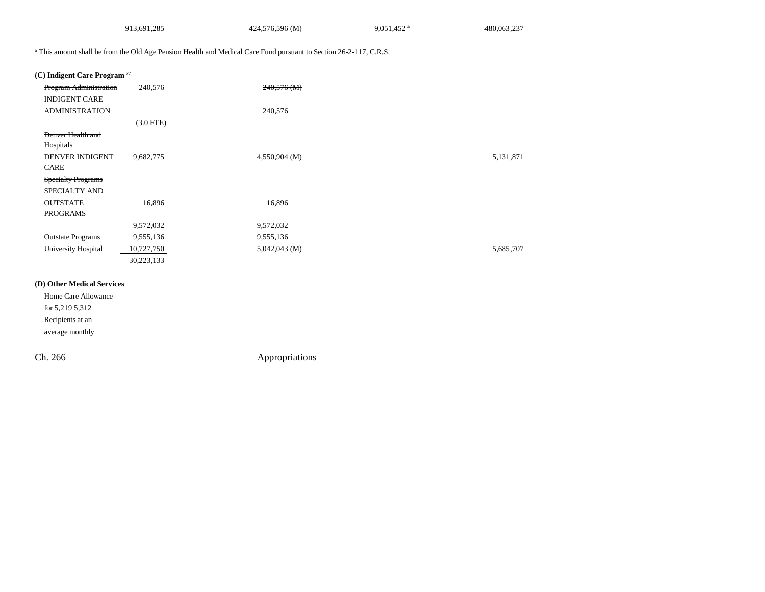|                                         | 913,691,285 | 424,576,596 (M)                                                                                                              | 9,051,452 <sup>a</sup> | 480,063,237 |
|-----------------------------------------|-------------|------------------------------------------------------------------------------------------------------------------------------|------------------------|-------------|
|                                         |             | <sup>a</sup> This amount shall be from the Old Age Pension Health and Medical Care Fund pursuant to Section 26-2-117, C.R.S. |                        |             |
| (C) Indigent Care Program <sup>27</sup> |             |                                                                                                                              |                        |             |
| <b>Program Administration</b>           | 240,576     | $240,576$ (M)                                                                                                                |                        |             |
| <b>INDIGENT CARE</b>                    |             |                                                                                                                              |                        |             |
| <b>ADMINISTRATION</b>                   |             | 240,576                                                                                                                      |                        |             |
|                                         | $(3.0$ FTE) |                                                                                                                              |                        |             |
| Denver Health and                       |             |                                                                                                                              |                        |             |
| Hospitals                               |             |                                                                                                                              |                        |             |
| DENVER INDIGENT                         | 9,682,775   | 4,550,904 (M)                                                                                                                |                        | 5,131,871   |
| <b>CARE</b>                             |             |                                                                                                                              |                        |             |
| <b>Specialty Programs</b>               |             |                                                                                                                              |                        |             |
| SPECIALTY AND                           |             |                                                                                                                              |                        |             |
| <b>OUTSTATE</b>                         | 16.896      | 16,896                                                                                                                       |                        |             |
| <b>PROGRAMS</b>                         |             |                                                                                                                              |                        |             |
|                                         | 9,572,032   | 9,572,032                                                                                                                    |                        |             |
| <b>Outstate Programs</b>                | 9,555,136   | 9,555,136                                                                                                                    |                        |             |
| University Hospital                     | 10,727,750  | 5,042,043 (M)                                                                                                                |                        | 5,685,707   |
|                                         | 30,223,133  |                                                                                                                              |                        |             |

Home Care Allowance for 5,219 5,312 Recipients at an average monthly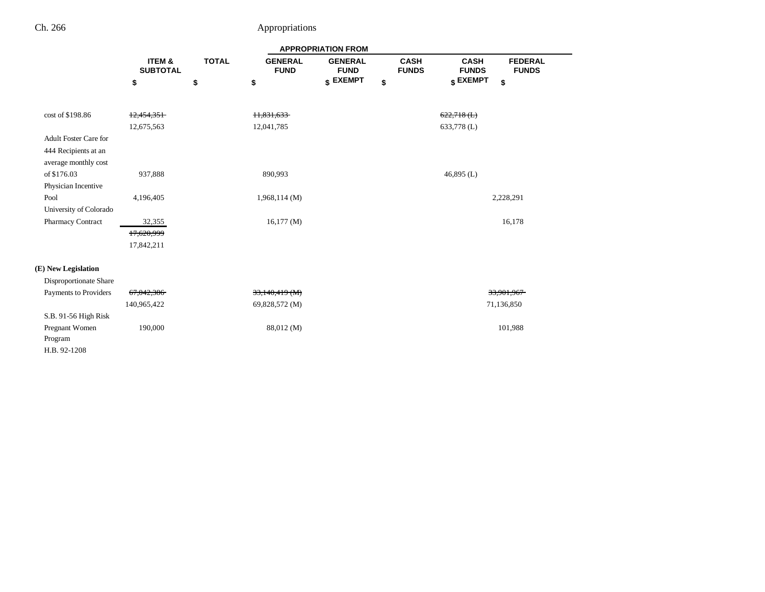|                              | <b>APPROPRIATION FROM</b> |              |                               |                               |                             |                                                               |           |  |
|------------------------------|---------------------------|--------------|-------------------------------|-------------------------------|-----------------------------|---------------------------------------------------------------|-----------|--|
|                              | ITEM &<br><b>SUBTOTAL</b> | <b>TOTAL</b> | <b>GENERAL</b><br><b>FUND</b> | <b>GENERAL</b><br><b>FUND</b> | <b>CASH</b><br><b>FUNDS</b> | <b>CASH</b><br><b>FEDERAL</b><br><b>FUNDS</b><br><b>FUNDS</b> |           |  |
|                              | \$                        | \$           | \$                            | \$ EXEMPT                     | \$                          | \$ EXEMPT<br>\$                                               |           |  |
| cost of \$198.86             | 12,454,351                |              | 11,831,633                    |                               |                             | $622,718$ ( <b>L</b> )                                        |           |  |
|                              | 12,675,563                |              | 12,041,785                    |                               |                             | 633,778 (L)                                                   |           |  |
| <b>Adult Foster Care for</b> |                           |              |                               |                               |                             |                                                               |           |  |
| 444 Recipients at an         |                           |              |                               |                               |                             |                                                               |           |  |
| average monthly cost         |                           |              |                               |                               |                             |                                                               |           |  |
| of \$176.03                  | 937,888                   |              | 890,993                       |                               |                             | 46,895 $(L)$                                                  |           |  |
| Physician Incentive          |                           |              |                               |                               |                             |                                                               |           |  |
| Pool                         | 4,196,405                 |              | 1,968,114(M)                  |                               |                             |                                                               | 2,228,291 |  |
| University of Colorado       |                           |              |                               |                               |                             |                                                               |           |  |
| Pharmacy Contract            | 32,355                    |              | 16,177(M)                     |                               |                             | 16,178                                                        |           |  |
|                              | 17,620,999                |              |                               |                               |                             |                                                               |           |  |
|                              | 17,842,211                |              |                               |                               |                             |                                                               |           |  |
| (E) New Legislation          |                           |              |                               |                               |                             |                                                               |           |  |
| Disproportionate Share       |                           |              |                               |                               |                             |                                                               |           |  |
| Payments to Providers        | 67,042,386                |              | 33,140,419 (M)                |                               |                             | 33,901,967                                                    |           |  |
|                              | 140,965,422               |              | 69,828,572 (M)                |                               |                             | 71,136,850                                                    |           |  |
| S.B. 91-56 High Risk         |                           |              |                               |                               |                             |                                                               |           |  |
| Pregnant Women               | 190,000                   |              | 88,012 (M)                    |                               |                             | 101,988                                                       |           |  |
| Program                      |                           |              |                               |                               |                             |                                                               |           |  |
| H.B. 92-1208                 |                           |              |                               |                               |                             |                                                               |           |  |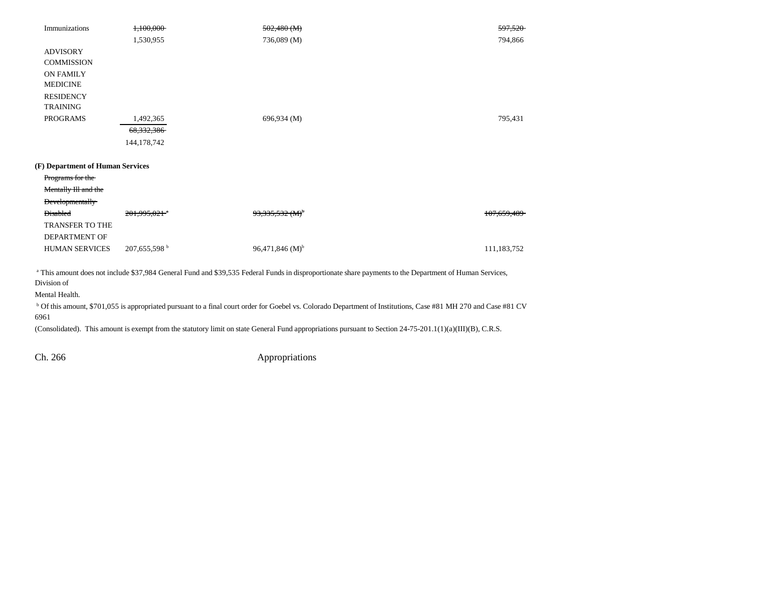| Immunizations                    | 1,100,000                  | $502,480$ (M)         | 597,520     |
|----------------------------------|----------------------------|-----------------------|-------------|
|                                  | 1,530,955                  | 736,089 (M)           | 794,866     |
| <b>ADVISORY</b>                  |                            |                       |             |
| <b>COMMISSION</b>                |                            |                       |             |
| <b>ON FAMILY</b>                 |                            |                       |             |
| <b>MEDICINE</b>                  |                            |                       |             |
| <b>RESIDENCY</b>                 |                            |                       |             |
| <b>TRAINING</b>                  |                            |                       |             |
| <b>PROGRAMS</b>                  | 1,492,365                  | 696,934 (M)           | 795,431     |
|                                  | 68,332,386                 |                       |             |
|                                  | 144,178,742                |                       |             |
| (F) Department of Human Services |                            |                       |             |
| Programs for the                 |                            |                       |             |
| Mentally III and the             |                            |                       |             |
| <b>Developmentally</b>           |                            |                       |             |
| <b>Disabled</b>                  | $201,995,021$ <sup>a</sup> | $93,335,532 \, (M)^5$ | 107,659,489 |
| TRANSFER TO THE                  |                            |                       |             |
| <b>DEPARTMENT OF</b>             |                            |                       |             |
| <b>HUMAN SERVICES</b>            | 207,655,598 <sup>b</sup>   | 96,471,846 $(M)^{b}$  | 111,183,752 |
|                                  |                            |                       |             |

<sup>a</sup> This amount does not include \$37,984 General Fund and \$39,535 Federal Funds in disproportionate share payments to the Department of Human Services, Division of

Mental Health.

b Of this amount, \$701,055 is appropriated pursuant to a final court order for Goebel vs. Colorado Department of Institutions, Case #81 MH 270 and Case #81 CV 6961

(Consolidated). This amount is exempt from the statutory limit on state General Fund appropriations pursuant to Section 24-75-201.1(1)(a)(III)(B), C.R.S.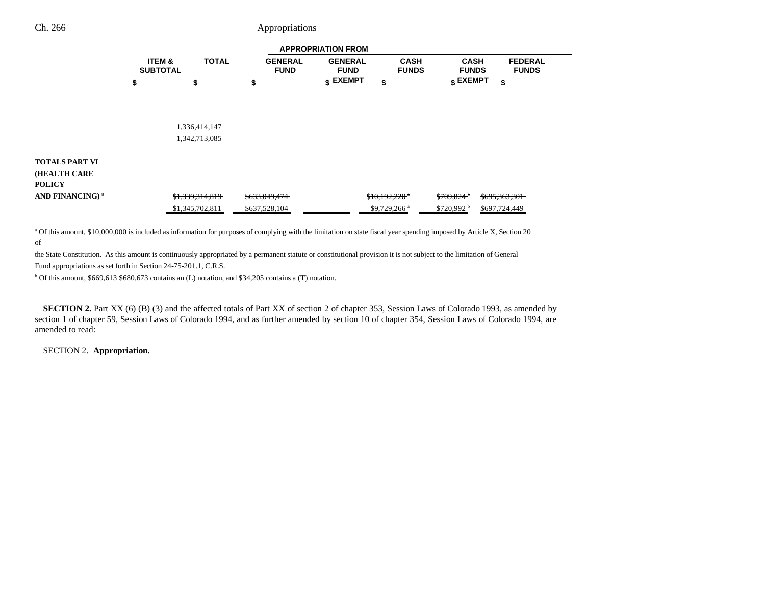|                                      | <b>APPROPRIATION FROM</b>            |                 |                               |                               |                             |                             |                                |  |
|--------------------------------------|--------------------------------------|-----------------|-------------------------------|-------------------------------|-----------------------------|-----------------------------|--------------------------------|--|
|                                      | <b>ITEM &amp;</b><br><b>SUBTOTAL</b> | <b>TOTAL</b>    | <b>GENERAL</b><br><b>FUND</b> | <b>GENERAL</b><br><b>FUND</b> | <b>CASH</b><br><b>FUNDS</b> | <b>CASH</b><br><b>FUNDS</b> | <b>FEDERAL</b><br><b>FUNDS</b> |  |
|                                      | \$                                   | \$              | \$                            | $$$ EXEMPT                    | \$                          | $$$ EXEMPT                  | \$                             |  |
|                                      |                                      |                 |                               |                               |                             |                             |                                |  |
|                                      |                                      |                 |                               |                               |                             |                             |                                |  |
|                                      |                                      | 1,336,414,147   |                               |                               |                             |                             |                                |  |
|                                      |                                      | 1,342,713,085   |                               |                               |                             |                             |                                |  |
| <b>TOTALS PART VI</b>                |                                      |                 |                               |                               |                             |                             |                                |  |
| <b>(HEALTH CARE</b><br><b>POLICY</b> |                                      |                 |                               |                               |                             |                             |                                |  |
| <b>AND FINANCING)<sup>8</sup></b>    |                                      | \$1,339,314,819 | \$633,049,474                 |                               | $$10,192,220$ $"$           | $$709,824$ <sup>b</sup>     | \$695,363,301                  |  |
|                                      |                                      | \$1,345,702,811 | \$637,528,104                 |                               | \$9,729,266 <sup>a</sup>    | $$720,992$ <sup>b</sup>     | \$697,724,449                  |  |

a Of this amount, \$10,000,000 is included as information for purposes of complying with the limitation on state fiscal year spending imposed by Article X, Section 20 of

the State Constitution. As this amount is continuously appropriated by a permanent statute or constitutional provision it is not subject to the limitation of General

Fund appropriations as set forth in Section 24-75-201.1, C.R.S.

 $b$  Of this amount,  $$669,613$  \$680,673 contains an (L) notation, and \$34,205 contains a (T) notation.

**SECTION 2.** Part XX (6) (B) (3) and the affected totals of Part XX of section 2 of chapter 353, Session Laws of Colorado 1993, as amended by section 1 of chapter 59, Session Laws of Colorado 1994, and as further amended by section 10 of chapter 354, Session Laws of Colorado 1994, are amended to read:

SECTION 2. **Appropriation.**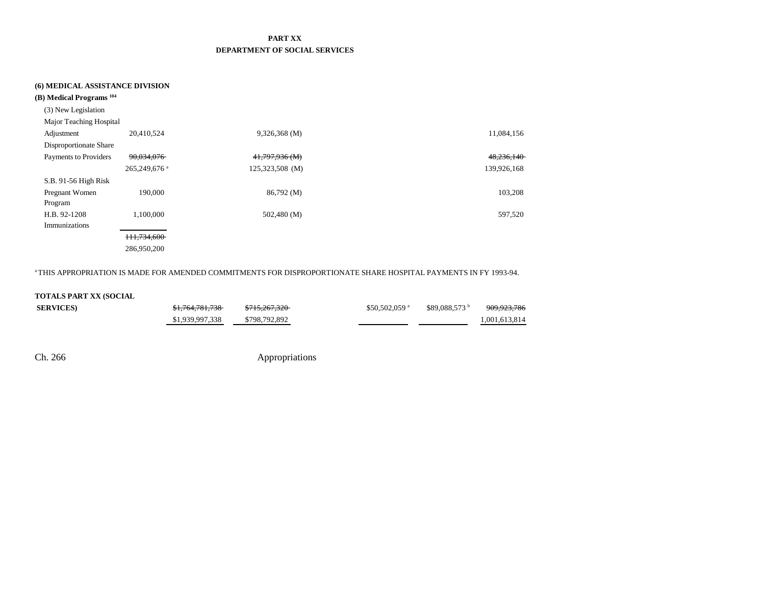### **PART XX DEPARTMENT OF SOCIAL SERVICES**

### **(6) MEDICAL ASSISTANCE DIVISION**

| (B) Medical Programs <sup>104</sup> |                          |                 |             |
|-------------------------------------|--------------------------|-----------------|-------------|
| (3) New Legislation                 |                          |                 |             |
| Major Teaching Hospital             |                          |                 |             |
| Adjustment                          | 20,410,524               | $9,326,368$ (M) | 11,084,156  |
| Disproportionate Share              |                          |                 |             |
| Payments to Providers               | 90,034,076               | 41,797,936 (M)  | 48,236,140  |
|                                     | 265,249,676 <sup>a</sup> | 125,323,508 (M) | 139,926,168 |
| S.B. 91-56 High Risk                |                          |                 |             |
| Pregnant Women                      | 190,000                  | 86,792 (M)      | 103,208     |
| Program                             |                          |                 |             |
| H.B. 92-1208                        | 1,100,000                | 502,480 (M)     | 597,520     |
| Immunizations                       |                          |                 |             |
|                                     | <del>111,734,600</del>   |                 |             |
|                                     | 286,950,200              |                 |             |

a THIS APPROPRIATION IS MADE FOR AMENDED COMMITMENTS FOR DISPROPORTIONATE SHARE HOSPITAL PAYMENTS IN FY 1993-94.

### **TOTALS PART XX (SOCIAL**

| <b>SERVICES</b> | <del>\$1.764.781.738</del> | \$715,267,320 | $$50.502.059$ <sup>a</sup> | \$89.088.573 | <del>909.923.786</del> |
|-----------------|----------------------------|---------------|----------------------------|--------------|------------------------|
|                 | \$1,939,997,338            | \$798,792,892 |                            |              | 1.001.613.814          |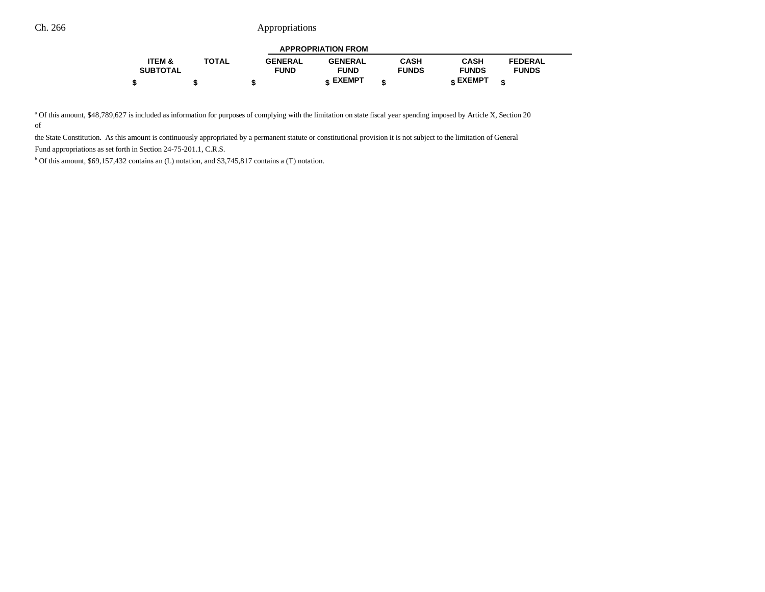| <b>APPROPRIATION FROM</b> |              |                |                |              |                 |                |  |  |
|---------------------------|--------------|----------------|----------------|--------------|-----------------|----------------|--|--|
| ITEM &                    | <b>TOTAL</b> | <b>GENERAL</b> | <b>GENERAL</b> | CASH         | CASH            | <b>FEDERAL</b> |  |  |
| <b>SUBTOTAL</b>           |              | <b>FUND</b>    | <b>FUND</b>    | <b>FUNDS</b> | <b>FUNDS</b>    | <b>FUNDS</b>   |  |  |
|                           |              |                | e EXEMPT       |              | <b>c</b> EXEMPT | æ              |  |  |

<sup>a</sup> Of this amount, \$48,789,627 is included as information for purposes of complying with the limitation on state fiscal year spending imposed by Article X, Section 20 of

the State Constitution. As this amount is continuously appropriated by a permanent statute or constitutional provision it is not subject to the limitation of General Fund appropriations as set forth in Section 24-75-201.1, C.R.S.

b Of this amount, \$69,157,432 contains an (L) notation, and \$3,745,817 contains a (T) notation.